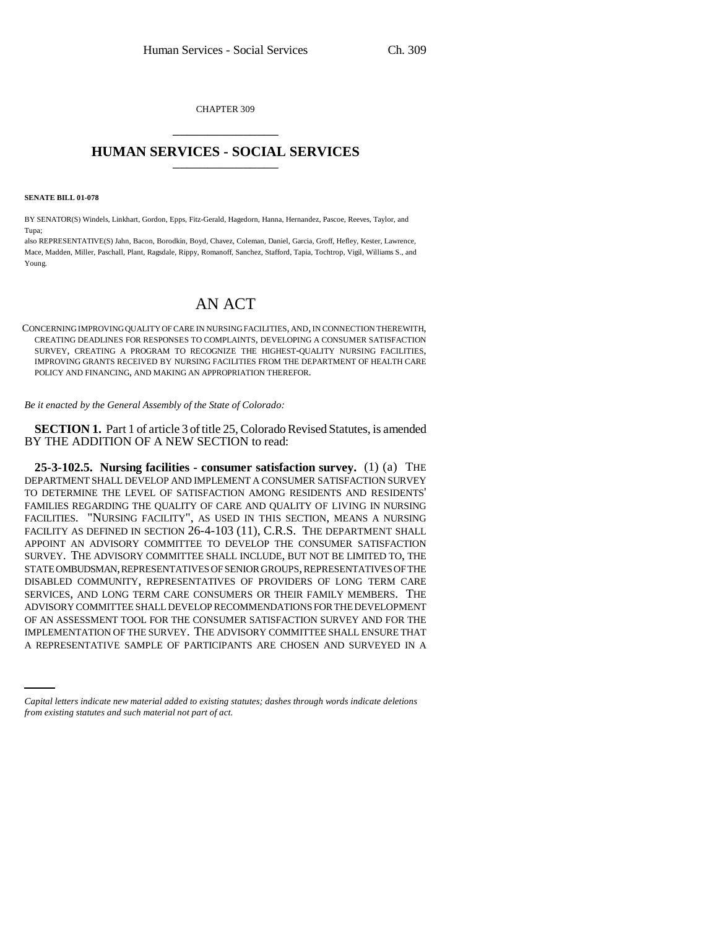CHAPTER 309 \_\_\_\_\_\_\_\_\_\_\_\_\_\_\_

## **HUMAN SERVICES - SOCIAL SERVICES** \_\_\_\_\_\_\_\_\_\_\_\_\_\_\_

**SENATE BILL 01-078**

BY SENATOR(S) Windels, Linkhart, Gordon, Epps, Fitz-Gerald, Hagedorn, Hanna, Hernandez, Pascoe, Reeves, Taylor, and Tupa;

also REPRESENTATIVE(S) Jahn, Bacon, Borodkin, Boyd, Chavez, Coleman, Daniel, Garcia, Groff, Hefley, Kester, Lawrence, Mace, Madden, Miller, Paschall, Plant, Ragsdale, Rippy, Romanoff, Sanchez, Stafford, Tapia, Tochtrop, Vigil, Williams S., and Young.

## AN ACT

CONCERNING IMPROVING QUALITY OF CARE IN NURSING FACILITIES, AND, IN CONNECTION THEREWITH, CREATING DEADLINES FOR RESPONSES TO COMPLAINTS, DEVELOPING A CONSUMER SATISFACTION SURVEY, CREATING A PROGRAM TO RECOGNIZE THE HIGHEST-QUALITY NURSING FACILITIES, IMPROVING GRANTS RECEIVED BY NURSING FACILITIES FROM THE DEPARTMENT OF HEALTH CARE POLICY AND FINANCING, AND MAKING AN APPROPRIATION THEREFOR.

*Be it enacted by the General Assembly of the State of Colorado:*

**SECTION 1.** Part 1 of article 3 of title 25, Colorado Revised Statutes, is amended BY THE ADDITION OF A NEW SECTION to read:

IMPLEMENTATION OF THE SURVEY. THE ADVISORY COMMITTEE SHALL ENSURE THAT **25-3-102.5. Nursing facilities - consumer satisfaction survey.** (1) (a) THE DEPARTMENT SHALL DEVELOP AND IMPLEMENT A CONSUMER SATISFACTION SURVEY TO DETERMINE THE LEVEL OF SATISFACTION AMONG RESIDENTS AND RESIDENTS' FAMILIES REGARDING THE QUALITY OF CARE AND QUALITY OF LIVING IN NURSING FACILITIES. "NURSING FACILITY", AS USED IN THIS SECTION, MEANS A NURSING FACILITY AS DEFINED IN SECTION 26-4-103 (11), C.R.S. THE DEPARTMENT SHALL APPOINT AN ADVISORY COMMITTEE TO DEVELOP THE CONSUMER SATISFACTION SURVEY. THE ADVISORY COMMITTEE SHALL INCLUDE, BUT NOT BE LIMITED TO, THE STATE OMBUDSMAN, REPRESENTATIVES OF SENIOR GROUPS, REPRESENTATIVES OF THE DISABLED COMMUNITY, REPRESENTATIVES OF PROVIDERS OF LONG TERM CARE SERVICES, AND LONG TERM CARE CONSUMERS OR THEIR FAMILY MEMBERS. THE ADVISORY COMMITTEE SHALL DEVELOP RECOMMENDATIONS FOR THE DEVELOPMENT OF AN ASSESSMENT TOOL FOR THE CONSUMER SATISFACTION SURVEY AND FOR THE A REPRESENTATIVE SAMPLE OF PARTICIPANTS ARE CHOSEN AND SURVEYED IN A

*Capital letters indicate new material added to existing statutes; dashes through words indicate deletions from existing statutes and such material not part of act.*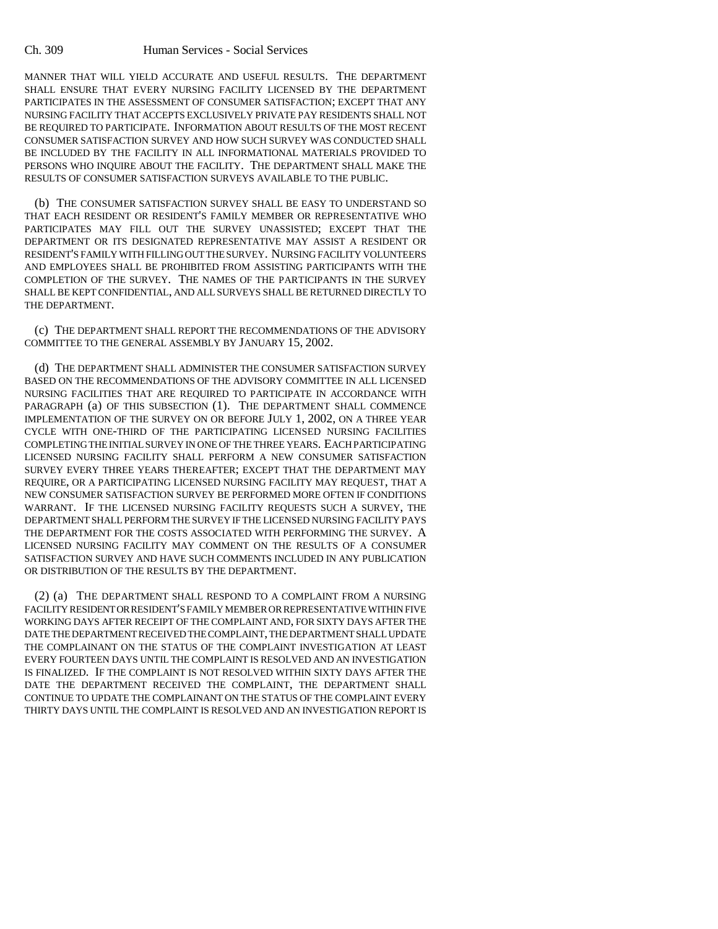## Ch. 309 Human Services - Social Services

MANNER THAT WILL YIELD ACCURATE AND USEFUL RESULTS. THE DEPARTMENT SHALL ENSURE THAT EVERY NURSING FACILITY LICENSED BY THE DEPARTMENT PARTICIPATES IN THE ASSESSMENT OF CONSUMER SATISFACTION; EXCEPT THAT ANY NURSING FACILITY THAT ACCEPTS EXCLUSIVELY PRIVATE PAY RESIDENTS SHALL NOT BE REQUIRED TO PARTICIPATE. INFORMATION ABOUT RESULTS OF THE MOST RECENT CONSUMER SATISFACTION SURVEY AND HOW SUCH SURVEY WAS CONDUCTED SHALL BE INCLUDED BY THE FACILITY IN ALL INFORMATIONAL MATERIALS PROVIDED TO PERSONS WHO INQUIRE ABOUT THE FACILITY. THE DEPARTMENT SHALL MAKE THE RESULTS OF CONSUMER SATISFACTION SURVEYS AVAILABLE TO THE PUBLIC.

(b) THE CONSUMER SATISFACTION SURVEY SHALL BE EASY TO UNDERSTAND SO THAT EACH RESIDENT OR RESIDENT'S FAMILY MEMBER OR REPRESENTATIVE WHO PARTICIPATES MAY FILL OUT THE SURVEY UNASSISTED; EXCEPT THAT THE DEPARTMENT OR ITS DESIGNATED REPRESENTATIVE MAY ASSIST A RESIDENT OR RESIDENT'S FAMILY WITH FILLING OUT THE SURVEY. NURSING FACILITY VOLUNTEERS AND EMPLOYEES SHALL BE PROHIBITED FROM ASSISTING PARTICIPANTS WITH THE COMPLETION OF THE SURVEY. THE NAMES OF THE PARTICIPANTS IN THE SURVEY SHALL BE KEPT CONFIDENTIAL, AND ALL SURVEYS SHALL BE RETURNED DIRECTLY TO THE DEPARTMENT.

(c) THE DEPARTMENT SHALL REPORT THE RECOMMENDATIONS OF THE ADVISORY COMMITTEE TO THE GENERAL ASSEMBLY BY JANUARY 15, 2002.

(d) THE DEPARTMENT SHALL ADMINISTER THE CONSUMER SATISFACTION SURVEY BASED ON THE RECOMMENDATIONS OF THE ADVISORY COMMITTEE IN ALL LICENSED NURSING FACILITIES THAT ARE REQUIRED TO PARTICIPATE IN ACCORDANCE WITH PARAGRAPH (a) OF THIS SUBSECTION (1). THE DEPARTMENT SHALL COMMENCE IMPLEMENTATION OF THE SURVEY ON OR BEFORE JULY 1, 2002, ON A THREE YEAR CYCLE WITH ONE-THIRD OF THE PARTICIPATING LICENSED NURSING FACILITIES COMPLETING THE INITIAL SURVEY IN ONE OF THE THREE YEARS. EACH PARTICIPATING LICENSED NURSING FACILITY SHALL PERFORM A NEW CONSUMER SATISFACTION SURVEY EVERY THREE YEARS THEREAFTER; EXCEPT THAT THE DEPARTMENT MAY REQUIRE, OR A PARTICIPATING LICENSED NURSING FACILITY MAY REQUEST, THAT A NEW CONSUMER SATISFACTION SURVEY BE PERFORMED MORE OFTEN IF CONDITIONS WARRANT. IF THE LICENSED NURSING FACILITY REQUESTS SUCH A SURVEY, THE DEPARTMENT SHALL PERFORM THE SURVEY IF THE LICENSED NURSING FACILITY PAYS THE DEPARTMENT FOR THE COSTS ASSOCIATED WITH PERFORMING THE SURVEY. A LICENSED NURSING FACILITY MAY COMMENT ON THE RESULTS OF A CONSUMER SATISFACTION SURVEY AND HAVE SUCH COMMENTS INCLUDED IN ANY PUBLICATION OR DISTRIBUTION OF THE RESULTS BY THE DEPARTMENT.

(2) (a) THE DEPARTMENT SHALL RESPOND TO A COMPLAINT FROM A NURSING FACILITY RESIDENT OR RESIDENT'S FAMILY MEMBER OR REPRESENTATIVE WITHIN FIVE WORKING DAYS AFTER RECEIPT OF THE COMPLAINT AND, FOR SIXTY DAYS AFTER THE DATE THE DEPARTMENT RECEIVED THE COMPLAINT, THE DEPARTMENT SHALL UPDATE THE COMPLAINANT ON THE STATUS OF THE COMPLAINT INVESTIGATION AT LEAST EVERY FOURTEEN DAYS UNTIL THE COMPLAINT IS RESOLVED AND AN INVESTIGATION IS FINALIZED. IF THE COMPLAINT IS NOT RESOLVED WITHIN SIXTY DAYS AFTER THE DATE THE DEPARTMENT RECEIVED THE COMPLAINT, THE DEPARTMENT SHALL CONTINUE TO UPDATE THE COMPLAINANT ON THE STATUS OF THE COMPLAINT EVERY THIRTY DAYS UNTIL THE COMPLAINT IS RESOLVED AND AN INVESTIGATION REPORT IS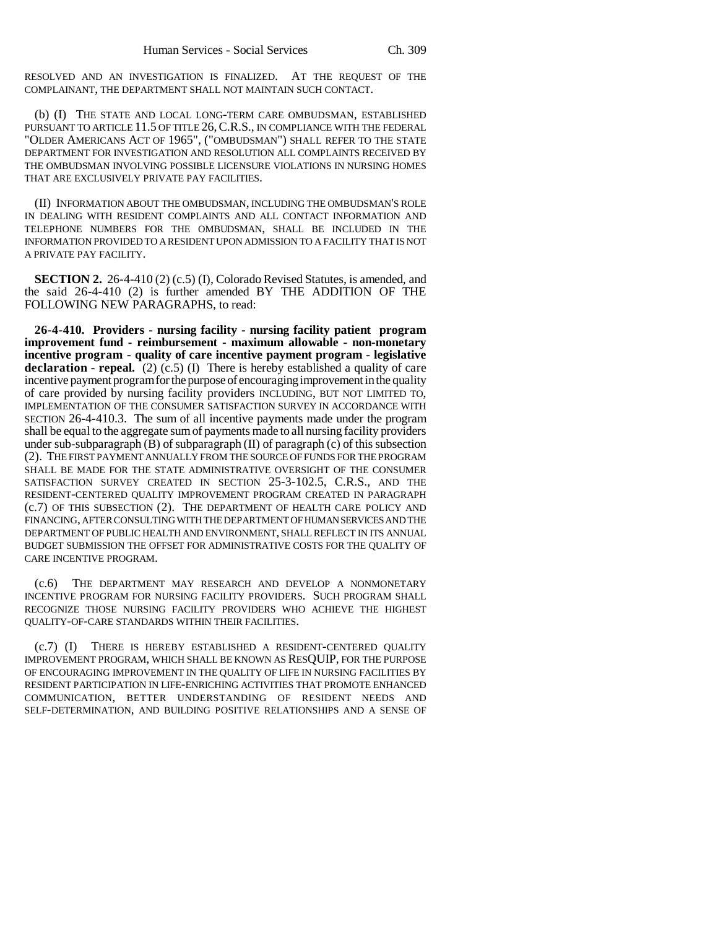RESOLVED AND AN INVESTIGATION IS FINALIZED. AT THE REQUEST OF THE COMPLAINANT, THE DEPARTMENT SHALL NOT MAINTAIN SUCH CONTACT.

(b) (I) THE STATE AND LOCAL LONG-TERM CARE OMBUDSMAN, ESTABLISHED PURSUANT TO ARTICLE 11.5 OF TITLE 26,C.R.S., IN COMPLIANCE WITH THE FEDERAL "OLDER AMERICANS ACT OF 1965", ("OMBUDSMAN") SHALL REFER TO THE STATE DEPARTMENT FOR INVESTIGATION AND RESOLUTION ALL COMPLAINTS RECEIVED BY THE OMBUDSMAN INVOLVING POSSIBLE LICENSURE VIOLATIONS IN NURSING HOMES THAT ARE EXCLUSIVELY PRIVATE PAY FACILITIES.

(II) INFORMATION ABOUT THE OMBUDSMAN, INCLUDING THE OMBUDSMAN'S ROLE IN DEALING WITH RESIDENT COMPLAINTS AND ALL CONTACT INFORMATION AND TELEPHONE NUMBERS FOR THE OMBUDSMAN, SHALL BE INCLUDED IN THE INFORMATION PROVIDED TO A RESIDENT UPON ADMISSION TO A FACILITY THAT IS NOT A PRIVATE PAY FACILITY.

**SECTION 2.** 26-4-410 (2) (c.5) (I), Colorado Revised Statutes, is amended, and the said 26-4-410 (2) is further amended BY THE ADDITION OF THE FOLLOWING NEW PARAGRAPHS, to read:

**26-4-410. Providers - nursing facility - nursing facility patient program improvement fund - reimbursement - maximum allowable - non-monetary incentive program - quality of care incentive payment program - legislative declaration - repeal.** (2) (c.5) (I) There is hereby established a quality of care incentive payment program for the purpose of encouraging improvement in the quality of care provided by nursing facility providers INCLUDING, BUT NOT LIMITED TO, IMPLEMENTATION OF THE CONSUMER SATISFACTION SURVEY IN ACCORDANCE WITH SECTION 26-4-410.3. The sum of all incentive payments made under the program shall be equal to the aggregate sum of payments made to all nursing facility providers under sub-subparagraph  $(B)$  of subparagraph  $(II)$  of paragraph  $(c)$  of this subsection (2). THE FIRST PAYMENT ANNUALLY FROM THE SOURCE OF FUNDS FOR THE PROGRAM SHALL BE MADE FOR THE STATE ADMINISTRATIVE OVERSIGHT OF THE CONSUMER SATISFACTION SURVEY CREATED IN SECTION 25-3-102.5, C.R.S., AND THE RESIDENT-CENTERED QUALITY IMPROVEMENT PROGRAM CREATED IN PARAGRAPH (c.7) OF THIS SUBSECTION (2). THE DEPARTMENT OF HEALTH CARE POLICY AND FINANCING, AFTER CONSULTING WITH THE DEPARTMENT OF HUMAN SERVICES AND THE DEPARTMENT OF PUBLIC HEALTH AND ENVIRONMENT, SHALL REFLECT IN ITS ANNUAL BUDGET SUBMISSION THE OFFSET FOR ADMINISTRATIVE COSTS FOR THE QUALITY OF CARE INCENTIVE PROGRAM.

(c.6) THE DEPARTMENT MAY RESEARCH AND DEVELOP A NONMONETARY INCENTIVE PROGRAM FOR NURSING FACILITY PROVIDERS. SUCH PROGRAM SHALL RECOGNIZE THOSE NURSING FACILITY PROVIDERS WHO ACHIEVE THE HIGHEST QUALITY-OF-CARE STANDARDS WITHIN THEIR FACILITIES.

(c.7) (I) THERE IS HEREBY ESTABLISHED A RESIDENT-CENTERED QUALITY IMPROVEMENT PROGRAM, WHICH SHALL BE KNOWN AS RESQUIP, FOR THE PURPOSE OF ENCOURAGING IMPROVEMENT IN THE QUALITY OF LIFE IN NURSING FACILITIES BY RESIDENT PARTICIPATION IN LIFE-ENRICHING ACTIVITIES THAT PROMOTE ENHANCED COMMUNICATION, BETTER UNDERSTANDING OF RESIDENT NEEDS AND SELF-DETERMINATION, AND BUILDING POSITIVE RELATIONSHIPS AND A SENSE OF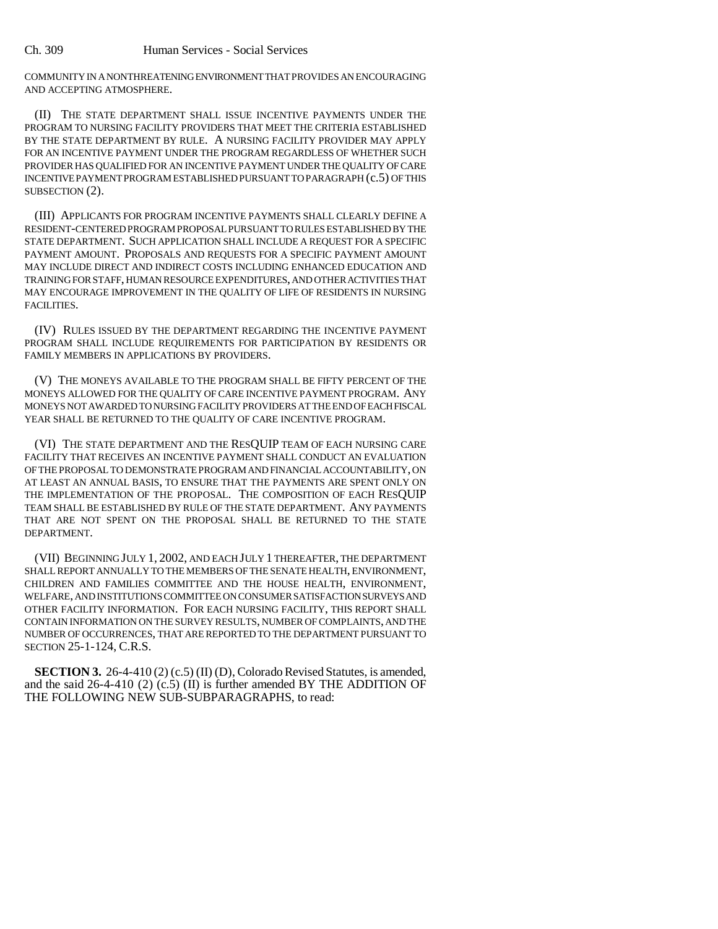COMMUNITY IN A NONTHREATENING ENVIRONMENT THAT PROVIDES AN ENCOURAGING AND ACCEPTING ATMOSPHERE.

(II) THE STATE DEPARTMENT SHALL ISSUE INCENTIVE PAYMENTS UNDER THE PROGRAM TO NURSING FACILITY PROVIDERS THAT MEET THE CRITERIA ESTABLISHED BY THE STATE DEPARTMENT BY RULE. A NURSING FACILITY PROVIDER MAY APPLY FOR AN INCENTIVE PAYMENT UNDER THE PROGRAM REGARDLESS OF WHETHER SUCH PROVIDER HAS QUALIFIED FOR AN INCENTIVE PAYMENT UNDER THE QUALITY OF CARE INCENTIVE PAYMENT PROGRAM ESTABLISHED PURSUANT TO PARAGRAPH (c.5) OF THIS SUBSECTION  $(2)$ .

(III) APPLICANTS FOR PROGRAM INCENTIVE PAYMENTS SHALL CLEARLY DEFINE A RESIDENT-CENTERED PROGRAM PROPOSAL PURSUANT TO RULES ESTABLISHED BY THE STATE DEPARTMENT. SUCH APPLICATION SHALL INCLUDE A REQUEST FOR A SPECIFIC PAYMENT AMOUNT. PROPOSALS AND REQUESTS FOR A SPECIFIC PAYMENT AMOUNT MAY INCLUDE DIRECT AND INDIRECT COSTS INCLUDING ENHANCED EDUCATION AND TRAINING FOR STAFF, HUMAN RESOURCE EXPENDITURES, AND OTHER ACTIVITIES THAT MAY ENCOURAGE IMPROVEMENT IN THE QUALITY OF LIFE OF RESIDENTS IN NURSING FACILITIES.

(IV) RULES ISSUED BY THE DEPARTMENT REGARDING THE INCENTIVE PAYMENT PROGRAM SHALL INCLUDE REQUIREMENTS FOR PARTICIPATION BY RESIDENTS OR FAMILY MEMBERS IN APPLICATIONS BY PROVIDERS.

(V) THE MONEYS AVAILABLE TO THE PROGRAM SHALL BE FIFTY PERCENT OF THE MONEYS ALLOWED FOR THE QUALITY OF CARE INCENTIVE PAYMENT PROGRAM. ANY MONEYS NOT AWARDED TO NURSING FACILITY PROVIDERS AT THE END OF EACH FISCAL YEAR SHALL BE RETURNED TO THE QUALITY OF CARE INCENTIVE PROGRAM.

(VI) THE STATE DEPARTMENT AND THE RESQUIP TEAM OF EACH NURSING CARE FACILITY THAT RECEIVES AN INCENTIVE PAYMENT SHALL CONDUCT AN EVALUATION OF THE PROPOSAL TO DEMONSTRATE PROGRAM AND FINANCIAL ACCOUNTABILITY, ON AT LEAST AN ANNUAL BASIS, TO ENSURE THAT THE PAYMENTS ARE SPENT ONLY ON THE IMPLEMENTATION OF THE PROPOSAL. THE COMPOSITION OF EACH RESQUIP TEAM SHALL BE ESTABLISHED BY RULE OF THE STATE DEPARTMENT. ANY PAYMENTS THAT ARE NOT SPENT ON THE PROPOSAL SHALL BE RETURNED TO THE STATE DEPARTMENT.

(VII) BEGINNING JULY 1, 2002, AND EACH JULY 1 THEREAFTER, THE DEPARTMENT SHALL REPORT ANNUALLY TO THE MEMBERS OF THE SENATE HEALTH, ENVIRONMENT, CHILDREN AND FAMILIES COMMITTEE AND THE HOUSE HEALTH, ENVIRONMENT, WELFARE, AND INSTITUTIONS COMMITTEE ON CONSUMER SATISFACTION SURVEYS AND OTHER FACILITY INFORMATION. FOR EACH NURSING FACILITY, THIS REPORT SHALL CONTAIN INFORMATION ON THE SURVEY RESULTS, NUMBER OF COMPLAINTS, AND THE NUMBER OF OCCURRENCES, THAT ARE REPORTED TO THE DEPARTMENT PURSUANT TO SECTION 25-1-124, C.R.S.

**SECTION 3.** 26-4-410 (2) (c.5) (II) (D), Colorado Revised Statutes, is amended, and the said 26-4-410 (2) (c.5) (II) is further amended BY THE ADDITION OF THE FOLLOWING NEW SUB-SUBPARAGRAPHS, to read: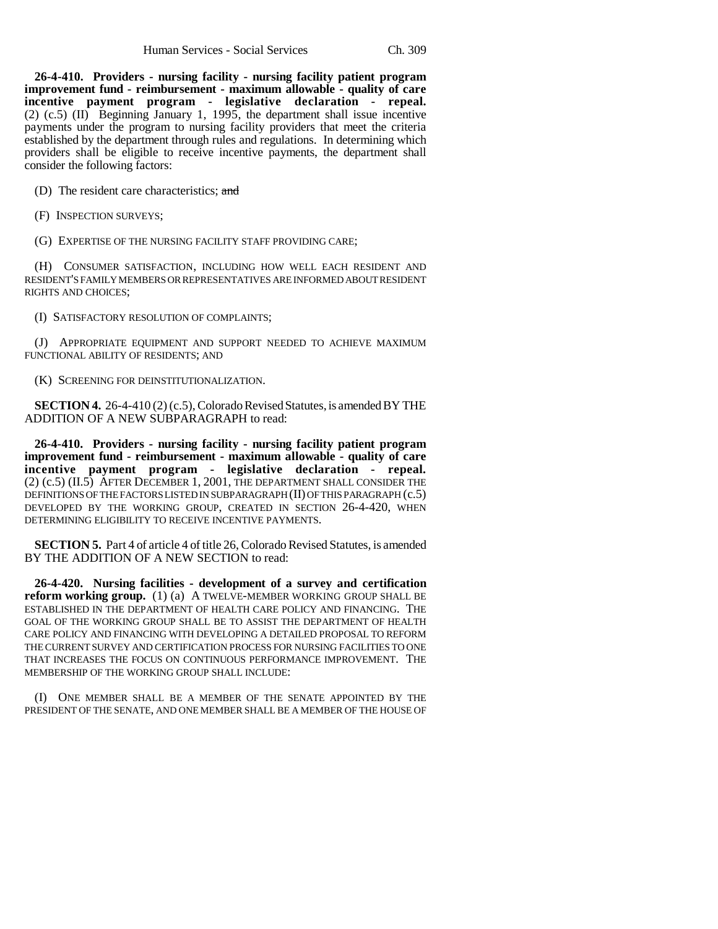**26-4-410. Providers - nursing facility - nursing facility patient program improvement fund - reimbursement - maximum allowable - quality of care incentive payment program - legislative declaration - repeal.** (2) (c.5) (II) Beginning January 1, 1995, the department shall issue incentive payments under the program to nursing facility providers that meet the criteria established by the department through rules and regulations. In determining which providers shall be eligible to receive incentive payments, the department shall consider the following factors:

(D) The resident care characteristics; and

(F) INSPECTION SURVEYS;

(G) EXPERTISE OF THE NURSING FACILITY STAFF PROVIDING CARE;

(H) CONSUMER SATISFACTION, INCLUDING HOW WELL EACH RESIDENT AND RESIDENT'S FAMILY MEMBERS OR REPRESENTATIVES ARE INFORMED ABOUT RESIDENT RIGHTS AND CHOICES;

(I) SATISFACTORY RESOLUTION OF COMPLAINTS;

(J) APPROPRIATE EQUIPMENT AND SUPPORT NEEDED TO ACHIEVE MAXIMUM FUNCTIONAL ABILITY OF RESIDENTS; AND

(K) SCREENING FOR DEINSTITUTIONALIZATION.

**SECTION 4.** 26-4-410 (2) (c.5), Colorado Revised Statutes, is amended BY THE ADDITION OF A NEW SUBPARAGRAPH to read:

**26-4-410. Providers - nursing facility - nursing facility patient program improvement fund - reimbursement - maximum allowable - quality of care incentive payment program - legislative declaration - repeal.** (2) (c.5) (II.5) AFTER DECEMBER 1, 2001, THE DEPARTMENT SHALL CONSIDER THE DEFINITIONS OF THE FACTORS LISTED IN SUBPARAGRAPH (II) OF THIS PARAGRAPH (c.5) DEVELOPED BY THE WORKING GROUP, CREATED IN SECTION 26-4-420, WHEN DETERMINING ELIGIBILITY TO RECEIVE INCENTIVE PAYMENTS.

**SECTION 5.** Part 4 of article 4 of title 26, Colorado Revised Statutes, is amended BY THE ADDITION OF A NEW SECTION to read:

**26-4-420. Nursing facilities - development of a survey and certification reform working group.** (1) (a) A TWELVE-MEMBER WORKING GROUP SHALL BE ESTABLISHED IN THE DEPARTMENT OF HEALTH CARE POLICY AND FINANCING. THE GOAL OF THE WORKING GROUP SHALL BE TO ASSIST THE DEPARTMENT OF HEALTH CARE POLICY AND FINANCING WITH DEVELOPING A DETAILED PROPOSAL TO REFORM THE CURRENT SURVEY AND CERTIFICATION PROCESS FOR NURSING FACILITIES TO ONE THAT INCREASES THE FOCUS ON CONTINUOUS PERFORMANCE IMPROVEMENT. THE MEMBERSHIP OF THE WORKING GROUP SHALL INCLUDE:

(I) ONE MEMBER SHALL BE A MEMBER OF THE SENATE APPOINTED BY THE PRESIDENT OF THE SENATE, AND ONE MEMBER SHALL BE A MEMBER OF THE HOUSE OF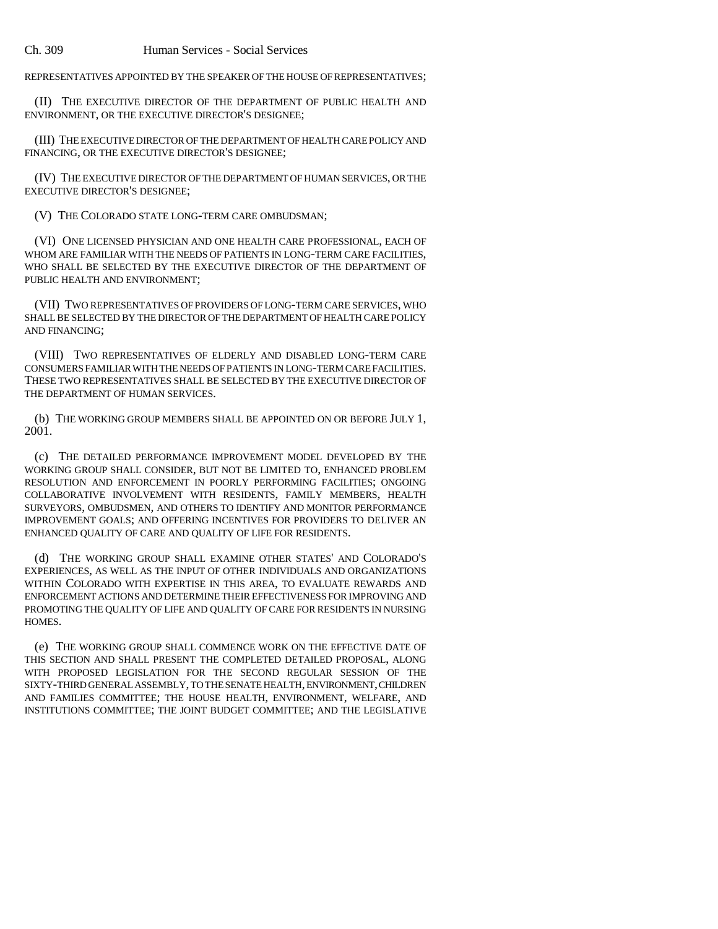REPRESENTATIVES APPOINTED BY THE SPEAKER OF THE HOUSE OF REPRESENTATIVES;

(II) THE EXECUTIVE DIRECTOR OF THE DEPARTMENT OF PUBLIC HEALTH AND ENVIRONMENT, OR THE EXECUTIVE DIRECTOR'S DESIGNEE;

(III) THE EXECUTIVE DIRECTOR OF THE DEPARTMENT OF HEALTH CARE POLICY AND FINANCING, OR THE EXECUTIVE DIRECTOR'S DESIGNEE;

(IV) THE EXECUTIVE DIRECTOR OF THE DEPARTMENT OF HUMAN SERVICES, OR THE EXECUTIVE DIRECTOR'S DESIGNEE;

(V) THE COLORADO STATE LONG-TERM CARE OMBUDSMAN;

(VI) ONE LICENSED PHYSICIAN AND ONE HEALTH CARE PROFESSIONAL, EACH OF WHOM ARE FAMILIAR WITH THE NEEDS OF PATIENTS IN LONG-TERM CARE FACILITIES, WHO SHALL BE SELECTED BY THE EXECUTIVE DIRECTOR OF THE DEPARTMENT OF PUBLIC HEALTH AND ENVIRONMENT;

(VII) TWO REPRESENTATIVES OF PROVIDERS OF LONG-TERM CARE SERVICES, WHO SHALL BE SELECTED BY THE DIRECTOR OF THE DEPARTMENT OF HEALTH CARE POLICY AND FINANCING;

(VIII) TWO REPRESENTATIVES OF ELDERLY AND DISABLED LONG-TERM CARE CONSUMERS FAMILIAR WITH THE NEEDS OF PATIENTS IN LONG-TERM CARE FACILITIES. THESE TWO REPRESENTATIVES SHALL BE SELECTED BY THE EXECUTIVE DIRECTOR OF THE DEPARTMENT OF HUMAN SERVICES.

(b) THE WORKING GROUP MEMBERS SHALL BE APPOINTED ON OR BEFORE JULY 1, 2001.

(c) THE DETAILED PERFORMANCE IMPROVEMENT MODEL DEVELOPED BY THE WORKING GROUP SHALL CONSIDER, BUT NOT BE LIMITED TO, ENHANCED PROBLEM RESOLUTION AND ENFORCEMENT IN POORLY PERFORMING FACILITIES; ONGOING COLLABORATIVE INVOLVEMENT WITH RESIDENTS, FAMILY MEMBERS, HEALTH SURVEYORS, OMBUDSMEN, AND OTHERS TO IDENTIFY AND MONITOR PERFORMANCE IMPROVEMENT GOALS; AND OFFERING INCENTIVES FOR PROVIDERS TO DELIVER AN ENHANCED QUALITY OF CARE AND QUALITY OF LIFE FOR RESIDENTS.

(d) THE WORKING GROUP SHALL EXAMINE OTHER STATES' AND COLORADO'S EXPERIENCES, AS WELL AS THE INPUT OF OTHER INDIVIDUALS AND ORGANIZATIONS WITHIN COLORADO WITH EXPERTISE IN THIS AREA, TO EVALUATE REWARDS AND ENFORCEMENT ACTIONS AND DETERMINE THEIR EFFECTIVENESS FOR IMPROVING AND PROMOTING THE QUALITY OF LIFE AND QUALITY OF CARE FOR RESIDENTS IN NURSING HOMES.

(e) THE WORKING GROUP SHALL COMMENCE WORK ON THE EFFECTIVE DATE OF THIS SECTION AND SHALL PRESENT THE COMPLETED DETAILED PROPOSAL, ALONG WITH PROPOSED LEGISLATION FOR THE SECOND REGULAR SESSION OF THE SIXTY-THIRD GENERAL ASSEMBLY, TO THE SENATE HEALTH, ENVIRONMENT, CHILDREN AND FAMILIES COMMITTEE; THE HOUSE HEALTH, ENVIRONMENT, WELFARE, AND INSTITUTIONS COMMITTEE; THE JOINT BUDGET COMMITTEE; AND THE LEGISLATIVE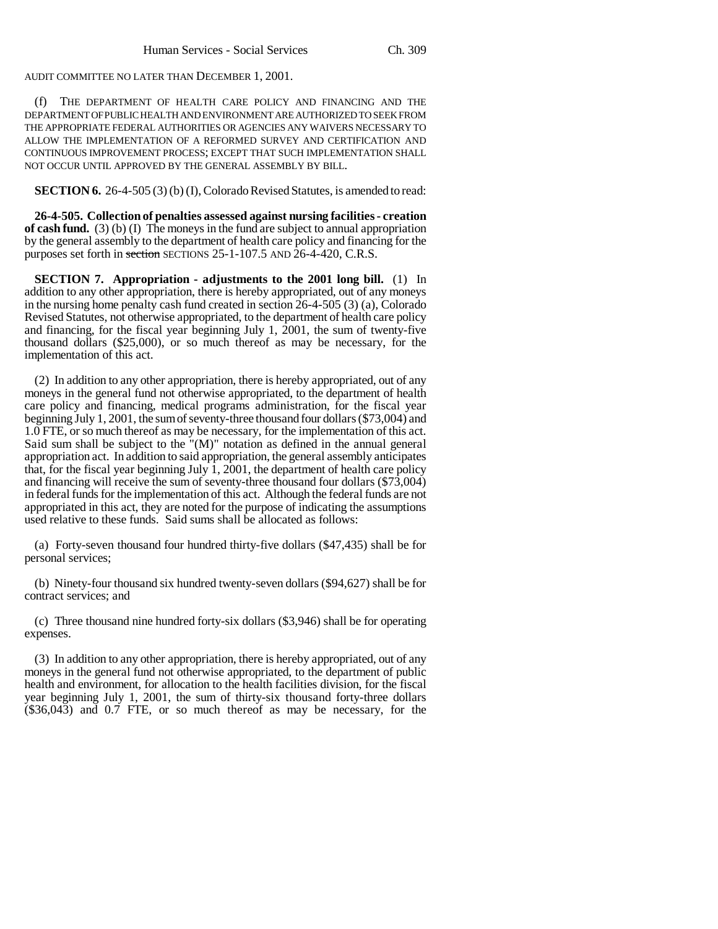AUDIT COMMITTEE NO LATER THAN DECEMBER 1, 2001.

(f) THE DEPARTMENT OF HEALTH CARE POLICY AND FINANCING AND THE DEPARTMENT OF PUBLIC HEALTH AND ENVIRONMENT ARE AUTHORIZED TO SEEK FROM THE APPROPRIATE FEDERAL AUTHORITIES OR AGENCIES ANY WAIVERS NECESSARY TO ALLOW THE IMPLEMENTATION OF A REFORMED SURVEY AND CERTIFICATION AND CONTINUOUS IMPROVEMENT PROCESS; EXCEPT THAT SUCH IMPLEMENTATION SHALL NOT OCCUR UNTIL APPROVED BY THE GENERAL ASSEMBLY BY BILL.

**SECTION 6.** 26-4-505 (3) (b) (I), Colorado Revised Statutes, is amended to read:

**26-4-505. Collection of penalties assessed against nursing facilities - creation of cash fund.** (3) (b) (I) The moneys in the fund are subject to annual appropriation by the general assembly to the department of health care policy and financing for the purposes set forth in section SECTIONS 25-1-107.5 AND 26-4-420, C.R.S.

**SECTION 7.** Appropriation - adjustments to the 2001 long bill. (1) In addition to any other appropriation, there is hereby appropriated, out of any moneys in the nursing home penalty cash fund created in section 26-4-505 (3) (a), Colorado Revised Statutes, not otherwise appropriated, to the department of health care policy and financing, for the fiscal year beginning July 1, 2001, the sum of twenty-five thousand dollars (\$25,000), or so much thereof as may be necessary, for the implementation of this act.

(2) In addition to any other appropriation, there is hereby appropriated, out of any moneys in the general fund not otherwise appropriated, to the department of health care policy and financing, medical programs administration, for the fiscal year beginning July 1, 2001, the sum of seventy-three thousand four dollars (\$73,004) and 1.0 FTE, or so much thereof as may be necessary, for the implementation of this act. Said sum shall be subject to the "(M)" notation as defined in the annual general appropriation act. In addition to said appropriation, the general assembly anticipates that, for the fiscal year beginning July  $\hat{1}$ ,  $\hat{2001}$ , the department of health care policy and financing will receive the sum of seventy-three thousand four dollars (\$73,004) in federal funds for the implementation of this act. Although the federal funds are not appropriated in this act, they are noted for the purpose of indicating the assumptions used relative to these funds. Said sums shall be allocated as follows:

(a) Forty-seven thousand four hundred thirty-five dollars (\$47,435) shall be for personal services;

(b) Ninety-four thousand six hundred twenty-seven dollars (\$94,627) shall be for contract services; and

(c) Three thousand nine hundred forty-six dollars (\$3,946) shall be for operating expenses.

(3) In addition to any other appropriation, there is hereby appropriated, out of any moneys in the general fund not otherwise appropriated, to the department of public health and environment, for allocation to the health facilities division, for the fiscal year beginning July 1, 2001, the sum of thirty-six thousand forty-three dollars (\$36,043) and 0.7 FTE, or so much thereof as may be necessary, for the